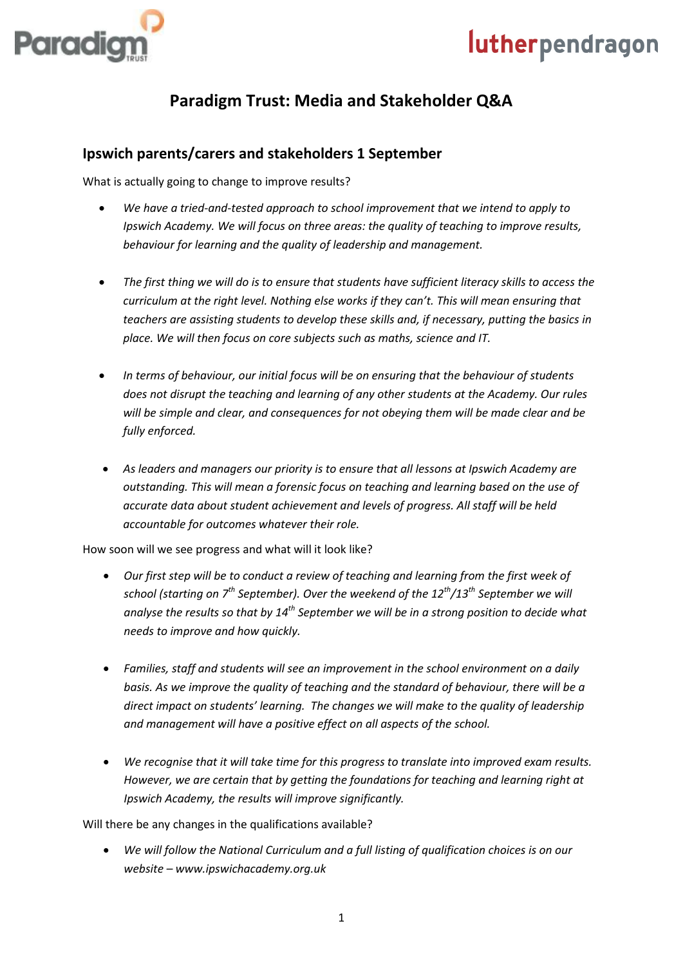



### **Paradigm Trust: Media and Stakeholder Q&A**

#### **Ipswich parents/carers and stakeholders 1 September**

What is actually going to change to improve results?

- *We have a tried-and-tested approach to school improvement that we intend to apply to Ipswich Academy. We will focus on three areas: the quality of teaching to improve results, behaviour for learning and the quality of leadership and management.*
- *The first thing we will do is to ensure that students have sufficient literacy skills to access the curriculum at the right level. Nothing else works if they can't. This will mean ensuring that teachers are assisting students to develop these skills and, if necessary, putting the basics in place. We will then focus on core subjects such as maths, science and IT.*
- *In terms of behaviour, our initial focus will be on ensuring that the behaviour of students does not disrupt the teaching and learning of any other students at the Academy. Our rules will be simple and clear, and consequences for not obeying them will be made clear and be fully enforced.*
- *As leaders and managers our priority is to ensure that all lessons at Ipswich Academy are outstanding. This will mean a forensic focus on teaching and learning based on the use of accurate data about student achievement and levels of progress. All staff will be held accountable for outcomes whatever their role.*

How soon will we see progress and what will it look like?

- *Our first step will be to conduct a review of teaching and learning from the first week of school (starting on 7 th September). Over the weekend of the 12th/13th September we will analyse the results so that by 14th September we will be in a strong position to decide what needs to improve and how quickly.*
- *Families, staff and students will see an improvement in the school environment on a daily basis. As we improve the quality of teaching and the standard of behaviour, there will be a direct impact on students' learning. The changes we will make to the quality of leadership and management will have a positive effect on all aspects of the school.*
- *We recognise that it will take time for this progress to translate into improved exam results. However, we are certain that by getting the foundations for teaching and learning right at Ipswich Academy, the results will improve significantly.*

Will there be any changes in the qualifications available?

 *We will follow the National Curriculum and a full listing of qualification choices is on our website – www.ipswichacademy.org.uk*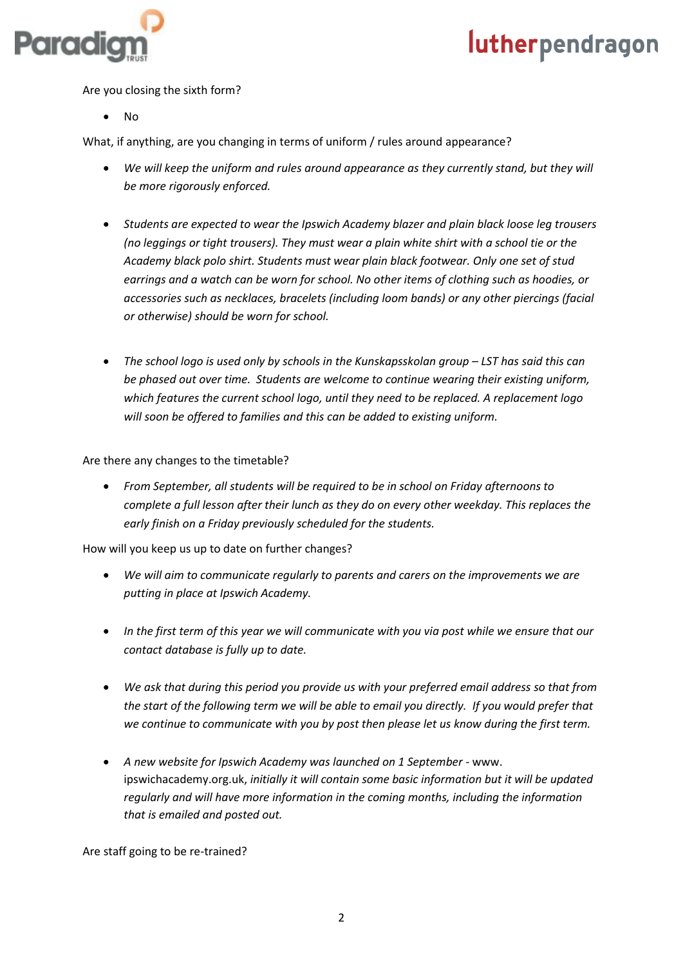

Are you closing the sixth form?

 $\bullet$  No

What, if anything, are you changing in terms of uniform / rules around appearance?

- *We will keep the uniform and rules around appearance as they currently stand, but they will be more rigorously enforced.*
- *Students are expected to wear the Ipswich Academy blazer and plain black loose leg trousers (no leggings or tight trousers). They must wear a plain white shirt with a school tie or the Academy black polo shirt. Students must wear plain black footwear. Only one set of stud earrings and a watch can be worn for school. No other items of clothing such as hoodies, or accessories such as necklaces, bracelets (including loom bands) or any other piercings (facial or otherwise) should be worn for school.*
- **•** The school logo is used only by schools in the Kunskapsskolan group LST has said this can *be phased out over time. Students are welcome to continue wearing their existing uniform, which features the current school logo, until they need to be replaced. A replacement logo will soon be offered to families and this can be added to existing uniform.*

Are there any changes to the timetable?

 *From September, all students will be required to be in school on Friday afternoons to complete a full lesson after their lunch as they do on every other weekday. This replaces the early finish on a Friday previously scheduled for the students.* 

How will you keep us up to date on further changes?

- *We will aim to communicate regularly to parents and carers on the improvements we are putting in place at Ipswich Academy.*
- *In the first term of this year we will communicate with you via post while we ensure that our contact database is fully up to date.*
- *We ask that during this period you provide us with your preferred email address so that from the start of the following term we will be able to email you directly. If you would prefer that we continue to communicate with you by post then please let us know during the first term.*
- *A new website for Ipswich Academy was launched on 1 September -* www. ipswichacademy.org.uk, *initially it will contain some basic information but it will be updated regularly and will have more information in the coming months, including the information that is emailed and posted out.*

Are staff going to be re-trained?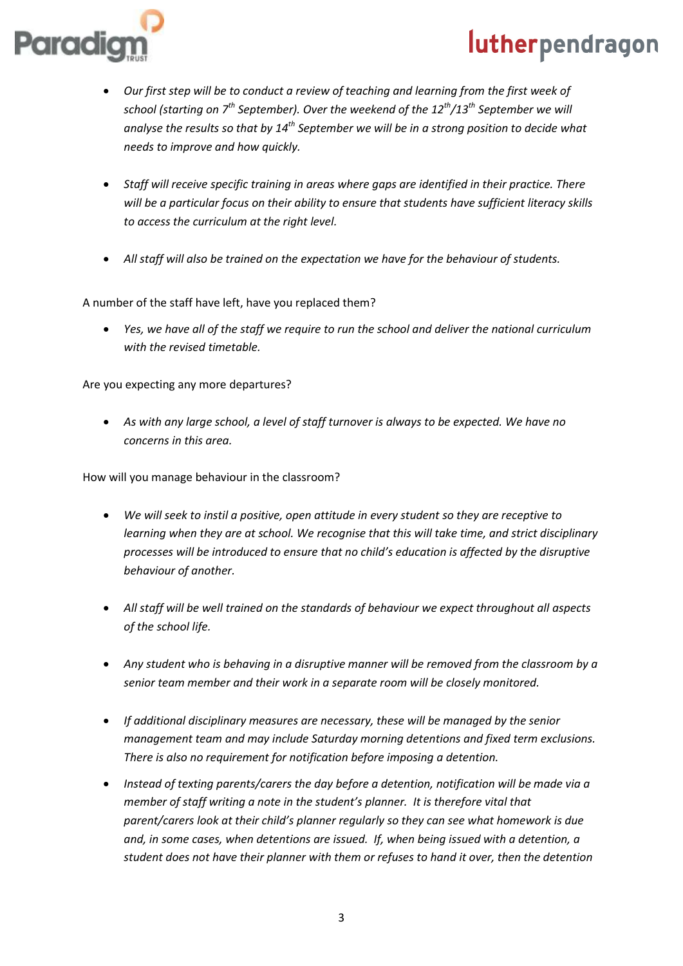

- *Our first step will be to conduct a review of teaching and learning from the first week of school (starting on 7th September). Over the weekend of the 12th/13th September we will analyse the results so that by 14th September we will be in a strong position to decide what needs to improve and how quickly.*
- *Staff will receive specific training in areas where gaps are identified in their practice. There will be a particular focus on their ability to ensure that students have sufficient literacy skills to access the curriculum at the right level.*
- *All staff will also be trained on the expectation we have for the behaviour of students.*

A number of the staff have left, have you replaced them?

*Yes, we have all of the staff we require to run the school and deliver the national curriculum with the revised timetable.*

Are you expecting any more departures?

 *As with any large school, a level of staff turnover is always to be expected. We have no concerns in this area.* 

How will you manage behaviour in the classroom?

- *We will seek to instil a positive, open attitude in every student so they are receptive to learning when they are at school. We recognise that this will take time, and strict disciplinary processes will be introduced to ensure that no child's education is affected by the disruptive behaviour of another.*
- *All staff will be well trained on the standards of behaviour we expect throughout all aspects of the school life.*
- *Any student who is behaving in a disruptive manner will be removed from the classroom by a senior team member and their work in a separate room will be closely monitored.*
- *If additional disciplinary measures are necessary, these will be managed by the senior management team and may include Saturday morning detentions and fixed term exclusions. There is also no requirement for notification before imposing a detention.*
- *Instead of texting parents/carers the day before a detention, notification will be made via a member of staff writing a note in the student's planner. It is therefore vital that parent/carers look at their child's planner regularly so they can see what homework is due and, in some cases, when detentions are issued. If, when being issued with a detention, a student does not have their planner with them or refuses to hand it over, then the detention*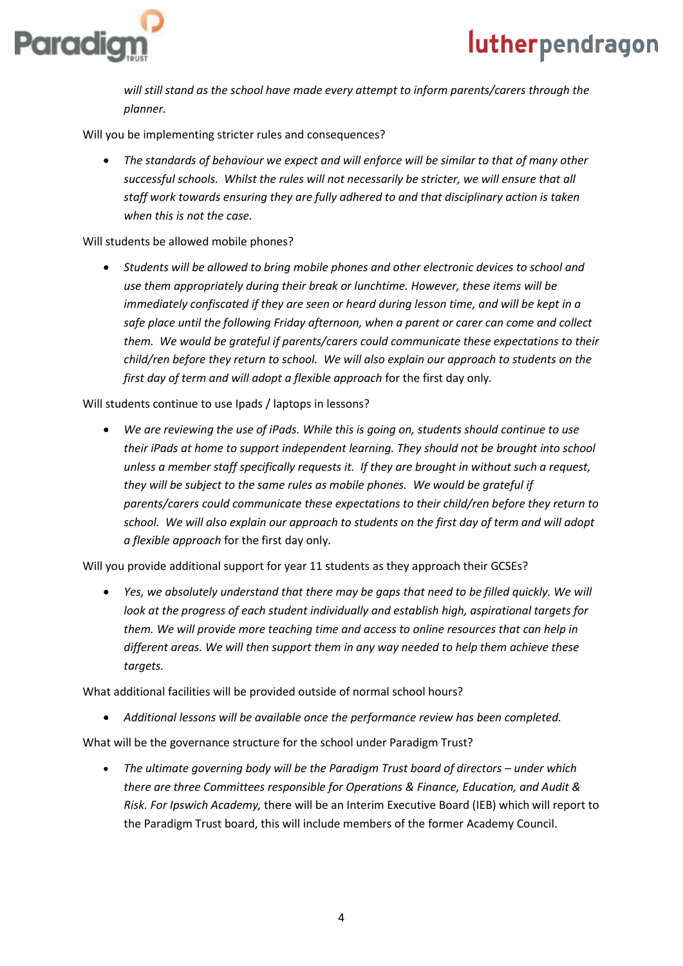

*will still stand as the school have made every attempt to inform parents/carers through the planner.*

Will you be implementing stricter rules and consequences?

 *The standards of behaviour we expect and will enforce will be similar to that of many other successful schools. Whilst the rules will not necessarily be stricter, we will ensure that all staff work towards ensuring they are fully adhered to and that disciplinary action is taken when this is not the case.*

#### Will students be allowed mobile phones?

 *Students will be allowed to bring mobile phones and other electronic devices to school and use them appropriately during their break or lunchtime. However, these items will be immediately confiscated if they are seen or heard during lesson time, and will be kept in a safe place until the following Friday afternoon, when a parent or carer can come and collect them. We would be grateful if parents/carers could communicate these expectations to their child/ren before they return to school. We will also explain our approach to students on the first day of term and will adopt a flexible approach* for the first day only*.*

Will students continue to use Ipads / laptops in lessons?

• We are reviewing the use of *iPads. While this is going on, students should continue to use their iPads at home to support independent learning. They should not be brought into school unless a member staff specifically requests it. If they are brought in without such a request, they will be subject to the same rules as mobile phones. We would be grateful if parents/carers could communicate these expectations to their child/ren before they return to school. We will also explain our approach to students on the first day of term and will adopt a flexible approach* for the first day only*.*

Will you provide additional support for year 11 students as they approach their GCSEs?

 *Yes, we absolutely understand that there may be gaps that need to be filled quickly. We will look at the progress of each student individually and establish high, aspirational targets for them. We will provide more teaching time and access to online resources that can help in different areas. We will then support them in any way needed to help them achieve these targets.*

What additional facilities will be provided outside of normal school hours?

*Additional lessons will be available once the performance review has been completed.* 

What will be the governance structure for the school under Paradigm Trust?

 *The ultimate governing body will be the Paradigm Trust board of directors – under which there are three Committees responsible for Operations & Finance, Education, and Audit & Risk. For Ipswich Academy,* there will be an Interim Executive Board (IEB) which will report to the Paradigm Trust board, this will include members of the former Academy Council.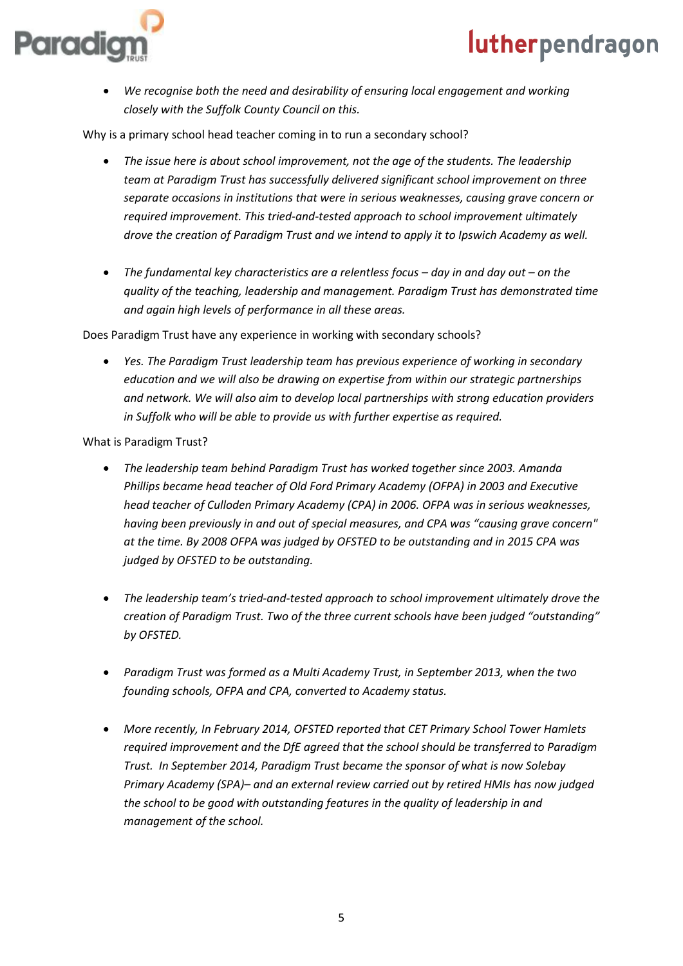



 *We recognise both the need and desirability of ensuring local engagement and working closely with the Suffolk County Council on this.* 

Why is a primary school head teacher coming in to run a secondary school?

- *The issue here is about school improvement, not the age of the students. The leadership team at Paradigm Trust has successfully delivered significant school improvement on three separate occasions in institutions that were in serious weaknesses, causing grave concern or required improvement. This tried-and-tested approach to school improvement ultimately drove the creation of Paradigm Trust and we intend to apply it to Ipswich Academy as well.*
- *The fundamental key characteristics are a relentless focus – day in and day out – on the quality of the teaching, leadership and management. Paradigm Trust has demonstrated time and again high levels of performance in all these areas.*

Does Paradigm Trust have any experience in working with secondary schools?

 *Yes. The Paradigm Trust leadership team has previous experience of working in secondary education and we will also be drawing on expertise from within our strategic partnerships and network. We will also aim to develop local partnerships with strong education providers in Suffolk who will be able to provide us with further expertise as required.*

What is Paradigm Trust?

- *The leadership team behind Paradigm Trust has worked together since 2003. Amanda Phillips became head teacher of Old Ford Primary Academy (OFPA) in 2003 and Executive head teacher of Culloden Primary Academy (CPA) in 2006. OFPA was in serious weaknesses, having been previously in and out of special measures, and CPA was "causing grave concern" at the time. By 2008 OFPA was judged by OFSTED to be outstanding and in 2015 CPA was judged by OFSTED to be outstanding.*
- *The leadership team's tried-and-tested approach to school improvement ultimately drove the creation of Paradigm Trust. Two of the three current schools have been judged "outstanding" by OFSTED.*
- *Paradigm Trust was formed as a Multi Academy Trust, in September 2013, when the two founding schools, OFPA and CPA, converted to Academy status.*
- *More recently, In February 2014, OFSTED reported that CET Primary School Tower Hamlets required improvement and the DfE agreed that the school should be transferred to Paradigm Trust. In September 2014, Paradigm Trust became the sponsor of what is now Solebay Primary Academy (SPA)– and an external review carried out by retired HMIs has now judged the school to be good with outstanding features in the quality of leadership in and management of the school.*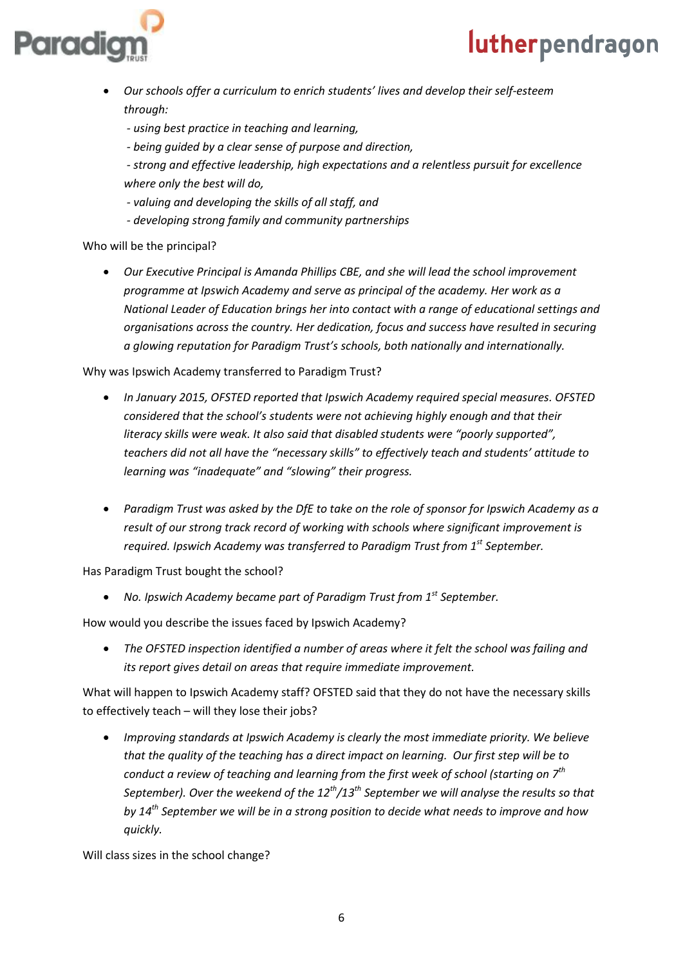

- *Our schools offer a curriculum to enrich students' lives and develop their self-esteem through:*
	- *- using best practice in teaching and learning,*
	- *- being guided by a clear sense of purpose and direction,*
	- *- strong and effective leadership, high expectations and a relentless pursuit for excellence where only the best will do,*
	- *- valuing and developing the skills of all staff, and*
	- *- developing strong family and community partnerships*

#### Who will be the principal?

 *Our Executive Principal is Amanda Phillips CBE, and she will lead the school improvement programme at Ipswich Academy and serve as principal of the academy. Her work as a National Leader of Education brings her into contact with a range of educational settings and organisations across the country. Her dedication, focus and success have resulted in securing a glowing reputation for Paradigm Trust's schools, both nationally and internationally.*

#### Why was Ipswich Academy transferred to Paradigm Trust?

- *In January 2015, OFSTED reported that Ipswich Academy required special measures. OFSTED considered that the school's students were not achieving highly enough and that their literacy skills were weak. It also said that disabled students were "poorly supported", teachers did not all have the "necessary skills" to effectively teach and students' attitude to learning was "inadequate" and "slowing" their progress.*
- *Paradigm Trust was asked by the DfE to take on the role of sponsor for Ipswich Academy as a result of our strong track record of working with schools where significant improvement is required. Ipswich Academy was transferred to Paradigm Trust from 1st September.*

Has Paradigm Trust bought the school?

*No. Ipswich Academy became part of Paradigm Trust from 1st September.*

How would you describe the issues faced by Ipswich Academy?

 *The OFSTED inspection identified a number of areas where it felt the school was failing and its report gives detail on areas that require immediate improvement.* 

What will happen to Ipswich Academy staff? OFSTED said that they do not have the necessary skills to effectively teach – will they lose their jobs?

 *Improving standards at Ipswich Academy is clearly the most immediate priority. We believe that the quality of the teaching has a direct impact on learning. Our first step will be to conduct a review of teaching and learning from the first week of school (starting on 7th September). Over the weekend of the 12th/13th September we will analyse the results so that by 14th September we will be in a strong position to decide what needs to improve and how quickly.* 

Will class sizes in the school change?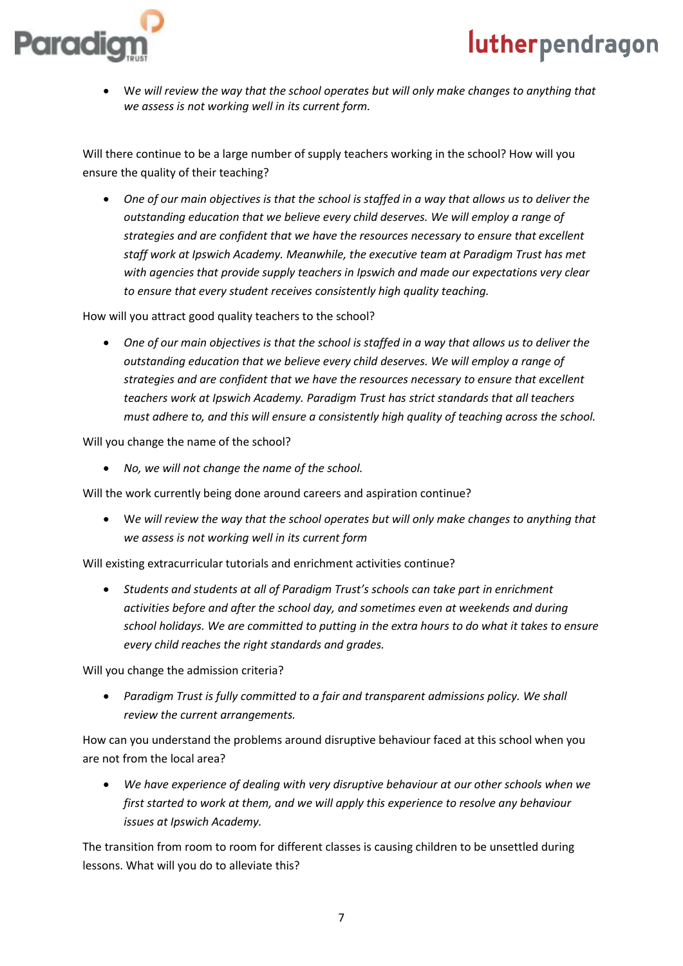# aradi

## lutherpendragon

 W*e will review the way that the school operates but will only make changes to anything that we assess is not working well in its current form.*

Will there continue to be a large number of supply teachers working in the school? How will you ensure the quality of their teaching?

 *One of our main objectives is that the school is staffed in a way that allows us to deliver the outstanding education that we believe every child deserves. We will employ a range of strategies and are confident that we have the resources necessary to ensure that excellent staff work at Ipswich Academy. Meanwhile, the executive team at Paradigm Trust has met with agencies that provide supply teachers in Ipswich and made our expectations very clear to ensure that every student receives consistently high quality teaching.* 

How will you attract good quality teachers to the school?

 *One of our main objectives is that the school is staffed in a way that allows us to deliver the outstanding education that we believe every child deserves. We will employ a range of strategies and are confident that we have the resources necessary to ensure that excellent teachers work at Ipswich Academy. Paradigm Trust has strict standards that all teachers must adhere to, and this will ensure a consistently high quality of teaching across the school.* 

Will you change the name of the school?

*No, we will not change the name of the school.*

Will the work currently being done around careers and aspiration continue?

 W*e will review the way that the school operates but will only make changes to anything that we assess is not working well in its current form*

Will existing extracurricular tutorials and enrichment activities continue?

 *Students and students at all of Paradigm Trust's schools can take part in enrichment activities before and after the school day, and sometimes even at weekends and during school holidays. We are committed to putting in the extra hours to do what it takes to ensure every child reaches the right standards and grades.* 

Will you change the admission criteria?

 *Paradigm Trust is fully committed to a fair and transparent admissions policy. We shall review the current arrangements.*

How can you understand the problems around disruptive behaviour faced at this school when you are not from the local area?

 *We have experience of dealing with very disruptive behaviour at our other schools when we first started to work at them, and we will apply this experience to resolve any behaviour issues at Ipswich Academy.* 

The transition from room to room for different classes is causing children to be unsettled during lessons. What will you do to alleviate this?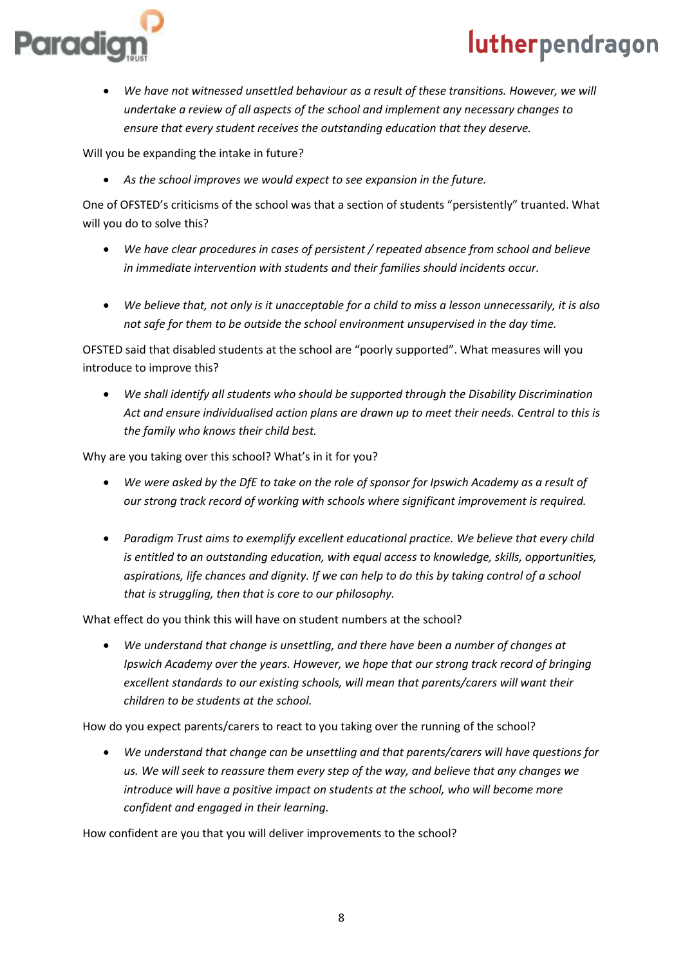

 *We have not witnessed unsettled behaviour as a result of these transitions. However, we will undertake a review of all aspects of the school and implement any necessary changes to ensure that every student receives the outstanding education that they deserve.*

Will you be expanding the intake in future?

*As the school improves we would expect to see expansion in the future.*

One of OFSTED's criticisms of the school was that a section of students "persistently" truanted. What will you do to solve this?

- *We have clear procedures in cases of persistent / repeated absence from school and believe in immediate intervention with students and their families should incidents occur.*
- *We believe that, not only is it unacceptable for a child to miss a lesson unnecessarily, it is also not safe for them to be outside the school environment unsupervised in the day time.*

OFSTED said that disabled students at the school are "poorly supported". What measures will you introduce to improve this?

 *We shall identify all students who should be supported through the Disability Discrimination Act and ensure individualised action plans are drawn up to meet their needs. Central to this is the family who knows their child best.*

Why are you taking over this school? What's in it for you?

- *We were asked by the DfE to take on the role of sponsor for Ipswich Academy as a result of our strong track record of working with schools where significant improvement is required.*
- *Paradigm Trust aims to exemplify excellent educational practice. We believe that every child is entitled to an outstanding education, with equal access to knowledge, skills, opportunities, aspirations, life chances and dignity. If we can help to do this by taking control of a school that is struggling, then that is core to our philosophy.*

What effect do you think this will have on student numbers at the school?

 *We understand that change is unsettling, and there have been a number of changes at Ipswich Academy over the years. However, we hope that our strong track record of bringing excellent standards to our existing schools, will mean that parents/carers will want their children to be students at the school.* 

How do you expect parents/carers to react to you taking over the running of the school?

 *We understand that change can be unsettling and that parents/carers will have questions for us. We will seek to reassure them every step of the way, and believe that any changes we introduce will have a positive impact on students at the school, who will become more confident and engaged in their learning.* 

How confident are you that you will deliver improvements to the school?